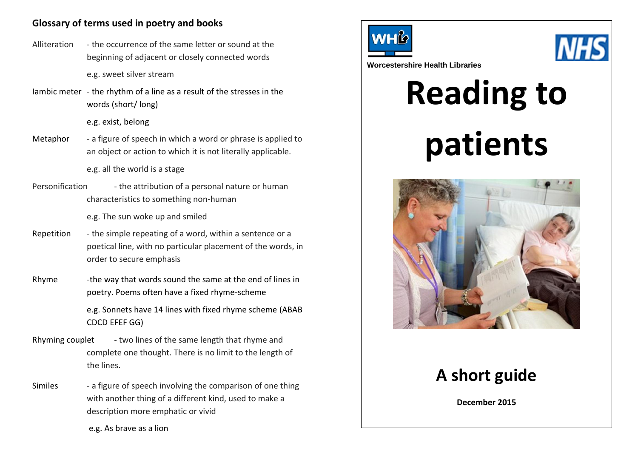# **Glossary of terms used in poetry and books**

- Alliteration the occurrence of the same letter or sound at the beginning of adjacent or closely connected words e.g. sweet silver stream
- Iambic meter the rhythm of a line as a result of the stresses in the words (short/ long)

e.g. exist, belong

Metaphor - a figure of speech in which a word or phrase is applied to an object or action to which it is not literally applicable.

e.g. all the world is a stage

Personification - the attribution of a personal nature or human characteristics to something non-human

e.g. The sun woke up and smiled

- Repetition the simple repeating of a word, within a sentence or a poetical line, with no particular placement of the words, in order to secure emphasis
- Rhyme -the way that words sound the same at the end of lines in poetry. Poems often have a fixed rhyme-scheme

e.g. Sonnets have 14 lines with fixed rhyme scheme (ABAB CDCD EFEF GG)

- Rhyming couplet two lines of the same length that rhyme and complete one thought. There is no limit to the length of the lines.
- Similes a figure of speech involving the comparison of one thing with another thing of a different kind, used to make a description more emphatic or vivid





**Worcestershire Health Libraries**

# **Reading to patients**



# **A short guide**

**December 2015**

e.g. As brave as a lion